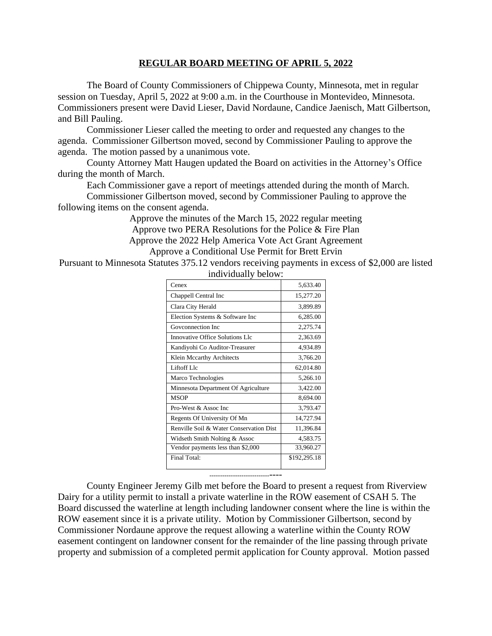## **REGULAR BOARD MEETING OF APRIL 5, 2022**

The Board of County Commissioners of Chippewa County, Minnesota, met in regular session on Tuesday, April 5, 2022 at 9:00 a.m. in the Courthouse in Montevideo, Minnesota. Commissioners present were David Lieser, David Nordaune, Candice Jaenisch, Matt Gilbertson, and Bill Pauling.

Commissioner Lieser called the meeting to order and requested any changes to the agenda. Commissioner Gilbertson moved, second by Commissioner Pauling to approve the agenda. The motion passed by a unanimous vote.

County Attorney Matt Haugen updated the Board on activities in the Attorney's Office during the month of March.

Each Commissioner gave a report of meetings attended during the month of March.

Commissioner Gilbertson moved, second by Commissioner Pauling to approve the following items on the consent agenda.

> Approve the minutes of the March 15, 2022 regular meeting Approve two PERA Resolutions for the Police & Fire Plan Approve the 2022 Help America Vote Act Grant Agreement Approve a Conditional Use Permit for Brett Ervin

Pursuant to Minnesota Statutes 375.12 vendors receiving payments in excess of \$2,000 are listed

| Cenex                                   | 5.633.40     |
|-----------------------------------------|--------------|
| Chappell Central Inc                    | 15,277.20    |
| Clara City Herald                       | 3,899.89     |
| Election Systems & Software Inc         | 6,285.00     |
| Goveonnection Inc                       | 2,275.74     |
| Innovative Office Solutions Llc         | 2,363.69     |
| Kandiyohi Co Auditor-Treasurer          | 4,934.89     |
| Klein Mccarthy Architects               | 3,766.20     |
| Liftoff Llc                             | 62,014.80    |
| Marco Technologies                      | 5,266.10     |
| Minnesota Department Of Agriculture     | 3,422.00     |
| <b>MSOP</b>                             | 8,694.00     |
| Pro-West & Assoc Inc.                   | 3,793.47     |
| Regents Of University Of Mn             | 14,727.94    |
| Renville Soil & Water Conservation Dist | 11,396.84    |
| Widseth Smith Nolting & Assoc           | 4,583.75     |
| Vendor payments less than \$2,000       | 33,960.27    |
| Final Total:                            | \$192,295.18 |

individually below:

--------------------------------

County Engineer Jeremy Gilb met before the Board to present a request from Riverview Dairy for a utility permit to install a private waterline in the ROW easement of CSAH 5. The Board discussed the waterline at length including landowner consent where the line is within the ROW easement since it is a private utility. Motion by Commissioner Gilbertson, second by Commissioner Nordaune approve the request allowing a waterline within the County ROW easement contingent on landowner consent for the remainder of the line passing through private property and submission of a completed permit application for County approval. Motion passed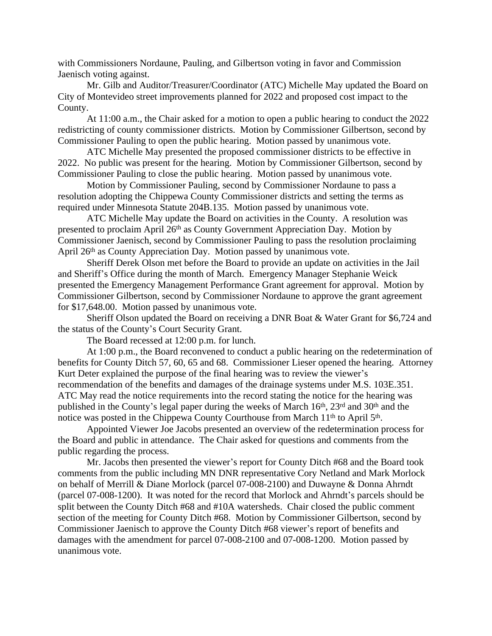with Commissioners Nordaune, Pauling, and Gilbertson voting in favor and Commission Jaenisch voting against.

Mr. Gilb and Auditor/Treasurer/Coordinator (ATC) Michelle May updated the Board on City of Montevideo street improvements planned for 2022 and proposed cost impact to the County.

At 11:00 a.m., the Chair asked for a motion to open a public hearing to conduct the 2022 redistricting of county commissioner districts. Motion by Commissioner Gilbertson, second by Commissioner Pauling to open the public hearing. Motion passed by unanimous vote.

ATC Michelle May presented the proposed commissioner districts to be effective in 2022. No public was present for the hearing. Motion by Commissioner Gilbertson, second by Commissioner Pauling to close the public hearing. Motion passed by unanimous vote.

Motion by Commissioner Pauling, second by Commissioner Nordaune to pass a resolution adopting the Chippewa County Commissioner districts and setting the terms as required under Minnesota Statute 204B.135. Motion passed by unanimous vote.

ATC Michelle May update the Board on activities in the County. A resolution was presented to proclaim April 26<sup>th</sup> as County Government Appreciation Day. Motion by Commissioner Jaenisch, second by Commissioner Pauling to pass the resolution proclaiming April 26th as County Appreciation Day. Motion passed by unanimous vote.

Sheriff Derek Olson met before the Board to provide an update on activities in the Jail and Sheriff's Office during the month of March. Emergency Manager Stephanie Weick presented the Emergency Management Performance Grant agreement for approval. Motion by Commissioner Gilbertson, second by Commissioner Nordaune to approve the grant agreement for \$17,648.00. Motion passed by unanimous vote.

Sheriff Olson updated the Board on receiving a DNR Boat & Water Grant for \$6,724 and the status of the County's Court Security Grant.

The Board recessed at 12:00 p.m. for lunch.

At 1:00 p.m., the Board reconvened to conduct a public hearing on the redetermination of benefits for County Ditch 57, 60, 65 and 68. Commissioner Lieser opened the hearing. Attorney Kurt Deter explained the purpose of the final hearing was to review the viewer's recommendation of the benefits and damages of the drainage systems under M.S. 103E.351. ATC May read the notice requirements into the record stating the notice for the hearing was published in the County's legal paper during the weeks of March 16<sup>th</sup>, 23<sup>rd</sup> and 30<sup>th</sup> and the notice was posted in the Chippewa County Courthouse from March 11<sup>th</sup> to April 5<sup>th</sup>.

Appointed Viewer Joe Jacobs presented an overview of the redetermination process for the Board and public in attendance. The Chair asked for questions and comments from the public regarding the process.

Mr. Jacobs then presented the viewer's report for County Ditch #68 and the Board took comments from the public including MN DNR representative Cory Netland and Mark Morlock on behalf of Merrill & Diane Morlock (parcel 07-008-2100) and Duwayne & Donna Ahrndt (parcel 07-008-1200). It was noted for the record that Morlock and Ahrndt's parcels should be split between the County Ditch #68 and #10A watersheds. Chair closed the public comment section of the meeting for County Ditch #68. Motion by Commissioner Gilbertson, second by Commissioner Jaenisch to approve the County Ditch #68 viewer's report of benefits and damages with the amendment for parcel 07-008-2100 and 07-008-1200. Motion passed by unanimous vote.